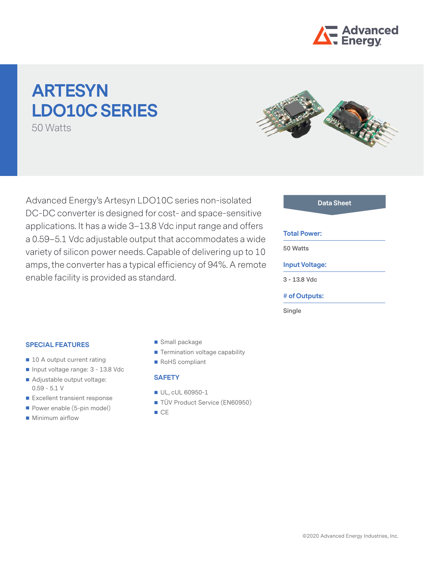

# **ARTESYN LDO10C Series**

50 Watts



Advanced Energy's Artesyn LDO10C series non-isolated DC-DC converter is designed for cost- and space-sensitive applications. It has a wide 3–13.8 Vdc input range and offers a 0.59–5.1 Vdc adjustable output that accommodates a wide variety of silicon power needs. Capable of delivering up to 10 amps, the converter has a typical efficiency of 94%. A remote enable facility is provided as standard.

#### **Data Sheet**

#### **Total Power:**

**50 Watts**

#### **Input Voltage:**

**3 - 13.8 Vdc**

#### **# of Outputs:**

**Single**

#### **Special features**

- 10 A output current rating
- Input voltage range: 3 13.8 Vdc
- Adjustable output voltage: 0.59 - 5.1 V
- Excellent transient response
- Power enable (5-pin model)
- Minimum airflow
- Small package
- **Termination voltage capability**
- RoHS compliant

# **SAFETY**

- UL, cUL 60950-1
- TÜV Product Service (EN60950)
- $C<sub>E</sub>$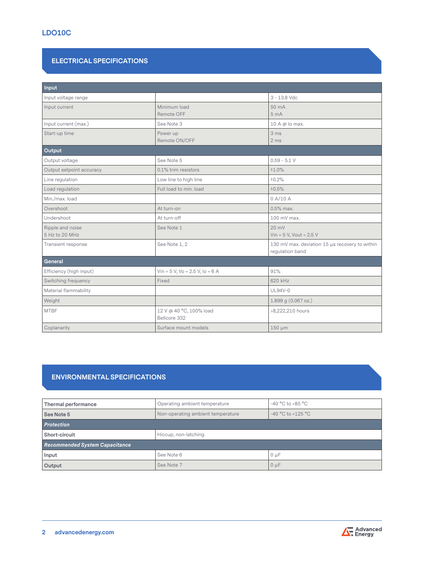# **ELECTRICAL SPECIFICATIONS**

| Input                              |                                                                                    |                                      |  |  |
|------------------------------------|------------------------------------------------------------------------------------|--------------------------------------|--|--|
| Input voltage range                |                                                                                    | $3 - 13.8$ Vdc                       |  |  |
| Input current                      | Minimum load<br>Remote OFF                                                         | 50 mA<br>5 <sub>mA</sub>             |  |  |
| Input current (max.)               | See Note 3                                                                         | 10 A @ lo max.                       |  |  |
| Start-up time                      | Power up<br>Remote ON/OFF                                                          | 3 ms<br>2 <sub>ms</sub>              |  |  |
| Output                             |                                                                                    |                                      |  |  |
| Output voltage                     | See Note 5                                                                         | $0.59 - 5.1 V$                       |  |  |
| Output setpoint accuracy           | 0.1% trim resistors                                                                | ±1.0%                                |  |  |
| Line regulation                    | Low line to high line                                                              | ±0.2%                                |  |  |
| Load regulation                    | Full load to min. load                                                             | ±0.5%                                |  |  |
| Min./max.load                      |                                                                                    | 0 A/10 A                             |  |  |
| Overshoot                          | At turn-on                                                                         | 0.5% max.                            |  |  |
| Undershoot                         | At turn-off                                                                        | 100 mV max.                          |  |  |
| Ripple and noise<br>5 Hz to 20 MHz | See Note 1                                                                         | 20 mV<br>Vin = $5$ V, Vout = $2.5$ V |  |  |
| Transient response                 | See Note 1, 2<br>130 mV max. deviation 15 µs recovery to within<br>regulation band |                                      |  |  |
| General                            |                                                                                    |                                      |  |  |
| Efficiency (high input)            | Vin = $5$ V, Vo = $2.5$ V, Io = $6$ A                                              | 91%                                  |  |  |
| Switching frequency                | Fixed                                                                              | 620 kHz                              |  |  |
| Material flammability              | UL94V-0                                                                            |                                      |  |  |
| Weight                             |                                                                                    | 1.899 g (0.067 oz.)                  |  |  |
| <b>MTBF</b>                        | 12 V @ 40 °C, 100% load<br>>8,222,210 hours<br>Bellcore 332                        |                                      |  |  |
| Coplanarity                        | Surface mount models<br>150 µm                                                     |                                      |  |  |

# **Environmental Specifications**

| Thermal performance            | $-40$ °C to $+85$ °C<br>Operating ambient temperature      |  |  |  |
|--------------------------------|------------------------------------------------------------|--|--|--|
| See Note 5                     | $-40$ °C to $+125$ °C<br>Non-operating ambient temperature |  |  |  |
| Protection                     |                                                            |  |  |  |
| Short-circuit                  | Hiccup, non-latching                                       |  |  |  |
| Recommended System Capacitance |                                                            |  |  |  |
| Input                          | See Note 6<br>$0 \mu F$                                    |  |  |  |
| Output                         | See Note 7<br>$0 \mu F$                                    |  |  |  |

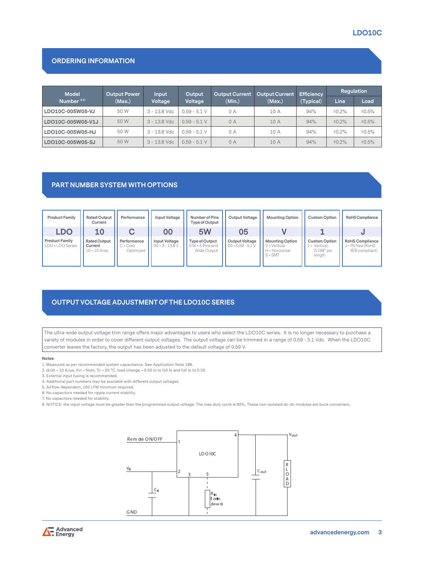# **LDO10C**

# **ORDERING INFORMATION**

| <b>Model</b>      | <b>Output Power</b> | Input          | Output         | <b>Output Current</b> | <b>Output Current</b> | <b>Efficiency</b><br>(Typical) | Regulation |       |
|-------------------|---------------------|----------------|----------------|-----------------------|-----------------------|--------------------------------|------------|-------|
| Number $(3,5)$    | (Max.)              | Voltage        | Voltage        | (Min.)                | (Max.)                |                                | Line       | Load  |
| LDO10C-005W05-VJ  | 50 W                | 3 - 13.8 Vdc   | $0.59 - 5.1 V$ | 0 A                   | 10 A                  | 94%                            | ±0.2%      | ±0.5% |
| LDO10C-005W05-V1J | 50 W                | $3 - 13.8$ Vdc | $0.59 - 5.1 V$ | 0A                    | 10 A                  | 94%                            | ±0.2%      | ±0.5% |
| LDO10C-005W05-HJ  | 50 W                | 3 - 13.8 Vdc   | $0.59 - 5.1 V$ | 0 A                   | 10 A                  | 94%                            | ±0.2%      | ±0.5% |
| LDO10C-005W05-SJ  | 50 W                | $3 - 13.8$ Vdc | $0.59 - 5.1 V$ | 0A                    | 10 A                  | 94%                            | ±0.2%      | ±0.5% |

# **Part Number System with Options**

| <b>Product Family</b>                     | <b>Rated Output</b><br>Current                  | Performance                        | Input Voltage                      | Number of Pins<br>Type of Output                    | Output Voltage                        | <b>Mounting Option</b>                                                | <b>Custom Option</b>                                            | RoHS Compliance                                           |
|-------------------------------------------|-------------------------------------------------|------------------------------------|------------------------------------|-----------------------------------------------------|---------------------------------------|-----------------------------------------------------------------------|-----------------------------------------------------------------|-----------------------------------------------------------|
| <b>LDO</b>                                | <b>10</b>                                       |                                    | 00                                 | 5W                                                  | 05                                    |                                                                       |                                                                 |                                                           |
| <b>Product Family</b><br>LDO = LDO Series | <b>Rated Output</b><br>Current<br>$10 = 10$ Amp | Performance<br>C=Cost<br>Optimized | Input Voltage<br>$00 = 3 - 13.8 V$ | Type of Output<br>$5 W = 5$ Pins and<br>Wide Output | Output Voltage<br>$05 = 0.59 - 5.1 V$ | <b>Mounting Option</b><br>V = Vertical<br>H = Horizontal<br>$S = SMT$ | <b>Custom Option</b><br>⊥ = Vertical,<br>$0.199"$ pin<br>length | RoHS Compliance<br>$J = Pb$ free (RoHS)<br>6/6 compliant) |

# **Output Voltage Adjustment of the LDO10C Series**

The ultra-wide output voltage trim range offers major advantages to users who select the LDO10C series. It is no longer necessary to purchase a variety of modules in order to cover different output voltages. The output voltage can be trimmed in a range of 0.59 - 5.1 Vdc. When the LDO10C converter leaves the factory, the output has been adjusted to the default voltage of 0.59 V.

#### **Notes**:

- 1. Measured as per recommended system capacitance. See Application Note 186.
- 2. di/dt = 10 A/µs, Vin = Nom, Tc = 25 °C, load change = 0.50 lo to full lo and full lo to 0.50.
- 3. External input fusing is recommended.
- 4. Additional part numbers may be available with different output voltages.
- 5. Airflow dependent, 100 LFM minimum required.
- 6. No capacitors needed for ripple current stability.
- 7. No capacitors needed for stability.
- 8. NOTICE: the input voltage must be greater than the programmed output voltage. The max duty cycle is 95%. These non-isolated dc-dc modules are buck converters.



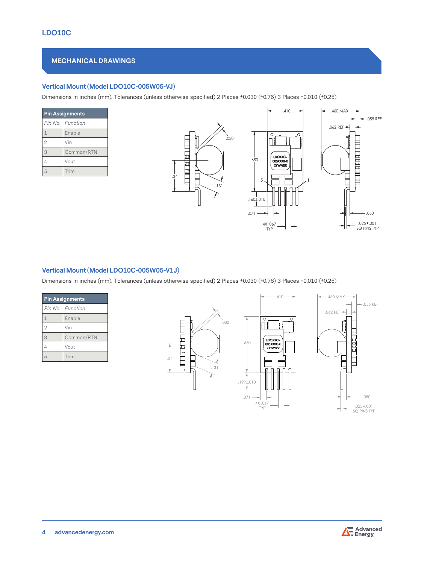# **Mechanical Drawings**

# **Vertical Mount (Model LDO10C-005W05-VJ)**

Dimensions in inches (mm). Tolerances (unless otherwise specified) 2 Places ±0.030 (±0.76) 3 Places ±0.010 (±0.25)

| <b>Pin Assignments</b> |                    |  |
|------------------------|--------------------|--|
|                        | Pin No.   Function |  |
| $\mathbf{1}$           | Enable             |  |
| $\overline{2}$         | Vin                |  |
| 3                      | Common/RTN         |  |
| 4                      | Vout               |  |
| 5                      | Trim               |  |



# **Vertical Mount (Model LDO10C-005W05-V1J)**

Dimensions in inches (mm). Tolerances (unless otherwise specified) 2 Places ±0.030 (±0.76) 3 Places ±0.010 (±0.25)

| <b>Pin Assignments</b> |                    |  |
|------------------------|--------------------|--|
|                        | Pin No.   Function |  |
| $\mathbf{1}$           | Enable             |  |
| $\overline{2}$         | Vin                |  |
| 3                      | Common/RTN         |  |
| 4                      | Vout               |  |
| 5                      | Trim               |  |





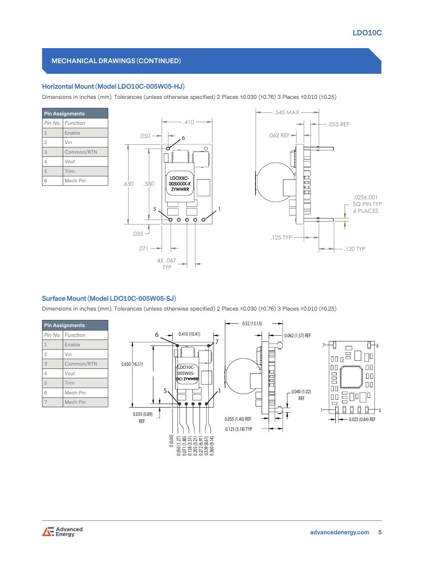# **Mechanical Drawings (continued)**

# **Horizontal Mount (Model LDO10C-005W05-HJ)**

Dimensions in inches (mm). Tolerances (unless otherwise specified) 2 Places ±0.030 (±0.76) 3 Places ±0.010 (±0.25)

| <b>Pin Assignments</b> |            |  |
|------------------------|------------|--|
| Pin No.                | Function   |  |
| $\mathbf{1}$           | Enable     |  |
| $\overline{2}$         | Vin        |  |
| 3                      | Common/RTN |  |
| 4                      | Vout       |  |
| 5                      | Trim       |  |
| 6                      | Mech Pin   |  |



# **Surface Mount (Model LDO10C-005W05-SJ)**

Dimensions in inches (mm). Tolerances (unless otherwise specified) 2 Places ±0.030 (±0.76) 3 Places ±0.010 (±0.25)

| <b>Pin Assignments</b> |                    |  |
|------------------------|--------------------|--|
|                        | Pin No.   Function |  |
| $\mathbf{1}$           | Enable             |  |
| $\overline{2}$         | Vin                |  |
| 3                      | Common/RTN         |  |
| $\overline{4}$         | Vout               |  |
| 5                      | Trim               |  |
| 6                      | Mech Pin           |  |
| 7                      | Mech Pin           |  |